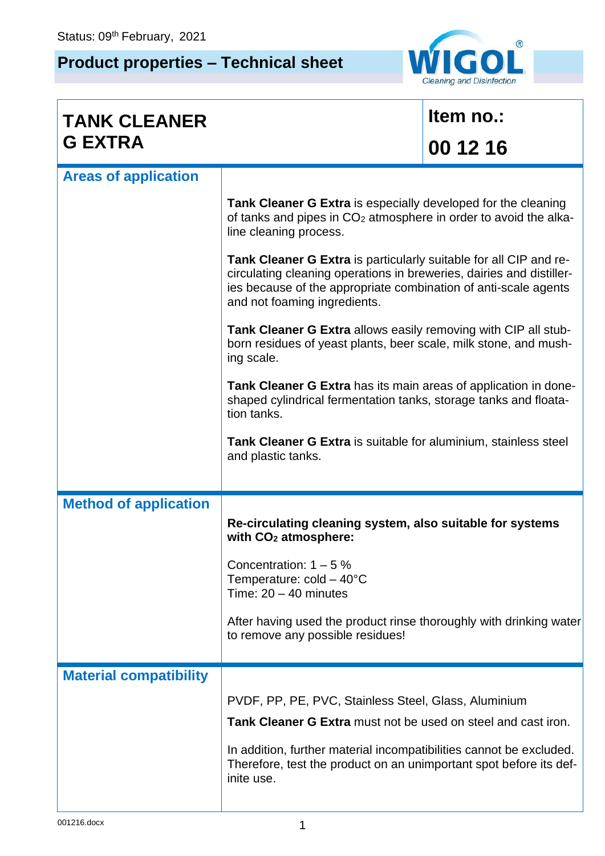## **Product properties – Technical sheet**



| <b>TANK CLEANER</b>           |                                                                                                                                                                                                                                              | Item no.: |  |
|-------------------------------|----------------------------------------------------------------------------------------------------------------------------------------------------------------------------------------------------------------------------------------------|-----------|--|
| <b>G EXTRA</b>                |                                                                                                                                                                                                                                              | 00 12 16  |  |
| <b>Areas of application</b>   |                                                                                                                                                                                                                                              |           |  |
|                               | <b>Tank Cleaner G Extra</b> is especially developed for the cleaning<br>of tanks and pipes in CO <sub>2</sub> atmosphere in order to avoid the alka-<br>line cleaning process.                                                               |           |  |
|                               | Tank Cleaner G Extra is particularly suitable for all CIP and re-<br>circulating cleaning operations in breweries, dairies and distiller-<br>ies because of the appropriate combination of anti-scale agents<br>and not foaming ingredients. |           |  |
|                               | <b>Tank Cleaner G Extra</b> allows easily removing with CIP all stub-<br>born residues of yeast plants, beer scale, milk stone, and mush-<br>ing scale.                                                                                      |           |  |
|                               | Tank Cleaner G Extra has its main areas of application in done-<br>shaped cylindrical fermentation tanks, storage tanks and floata-<br>tion tanks.                                                                                           |           |  |
|                               | Tank Cleaner G Extra is suitable for aluminium, stainless steel<br>and plastic tanks.                                                                                                                                                        |           |  |
| <b>Method of application</b>  |                                                                                                                                                                                                                                              |           |  |
|                               | Re-circulating cleaning system, also suitable for systems<br>with CO <sub>2</sub> atmosphere:                                                                                                                                                |           |  |
|                               | Concentration: $1 - 5$ %<br>Temperature: $cold - 40^{\circ}C$<br>Time: $20 - 40$ minutes                                                                                                                                                     |           |  |
|                               | After having used the product rinse thoroughly with drinking water<br>to remove any possible residues!                                                                                                                                       |           |  |
| <b>Material compatibility</b> |                                                                                                                                                                                                                                              |           |  |
|                               | PVDF, PP, PE, PVC, Stainless Steel, Glass, Aluminium                                                                                                                                                                                         |           |  |
|                               | Tank Cleaner G Extra must not be used on steel and cast iron.                                                                                                                                                                                |           |  |
|                               | In addition, further material incompatibilities cannot be excluded.<br>Therefore, test the product on an unimportant spot before its def-<br>inite use.                                                                                      |           |  |